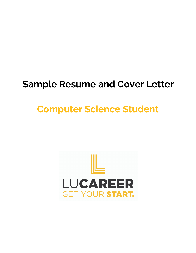# **Sample Resume and Cover Letter**

# **Computer Science Student**

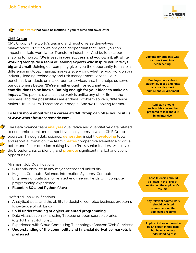

**Action Verbs that could be included in your resume and cover letter**

#### **CME Group**

CME Group is the world's leading and most diverse derivatives marketplace. But who we are goes deeper than that. Here, you can impact markets worldwide. Transform industries. And build a career shaping tomorrow. **We invest in your success and you own it, all while working alongside a team of leading experts who inspire you in ways big and small.** Joining our company gives you the opportunity to make a difference in global financial markets every day, whether you work on our industry-leading technology and risk management services, our benchmark products or in a corporate services area that helps us serve our customers better. **We're small enough for you and your contributions to be known. But big enough for your ideas to make an impact.** The pace is dynamic, the work is unlike any other firm in the business, and the possibilities are endless. Problem solvers, difference makers, trailblazers. Those are our people. And we're looking for more.

#### **To learn more about what a career atCME Group can offer you, visit us at www.wherefuturesaremade.com .**

The Data Science team **analyzes** qualitative and quantitative data related to economic, client and competitive ecosystems in which CME Group operates. Through data science, **generating** insight, **developing** tools, and report automation, the team **creates** competitive advantage to drive better and faster decision making by the firm's senior leaders. We serve the broader units to identify and **promote** significant market and client opportunities.

Minimum Job Qualifications:

- Currently enrolled in any major accredited university
- Major in Computer Science, Information Systems, Computer Engineering, Statistics, or related engineering fields with computer programming experience
- **Fluent in SQL and Python/Java**

Preferred Job Qualifications:

- Analytical skills and the ability to decipher complex business problems Knowledge of git, Linux
- **Solid understanding of object-oriented programming**
- Data visualization skills using Tableau or open source libraries (ggplot2, matplotlib, etc.)
- Experience with Cloud Computing Technology (Amazon Web Services)
- **Understanding of the commodity and financial derivative markets is preferred**

**Looking for students who can work well in a team setting**

**Employer cares about student success and hints at a positive work culture and environment**

**Applicant should review this site and be prepared to talk about it in an interview**

**These fluencies should be listed in the "skills" section on the applicant's resume**

**Any relevant course work should be listed somewhere on the applicant's resume**

**Applicant does not need to be an expert in this field, but have a general understanding of it**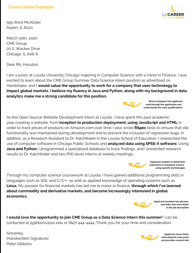## **Cover Letter Example**

555 West McAlister Aspen, IL 61111

March 30th, 2020 CME Group 20 S. Wacker Drive Chicago, IL 606-6

Dear Ms. Houston,

I am a junior at Loyola University Chicago majoring in Computer Science with a minor in Finance. I was excited to learn about the CME Group Summer Data Science Intern position as advertised on Handshake, and I **would value the opportunity to work for a company that uses technology to impact global markets. I believe my fluency in Java and Python, along with my background in data analytics make me a strong candidate for this position.**

As the Open Source Website Development Intern at Loyola, I have spent this past academic year creating a website, from **inception to production deployment, using JavaScript and HTML** in order to track prices of products on Amazon.com over time. I also wrote **RSpec** tests to ensure that site functionality was maintained during development and to prevent the inclusion of regression bugs. In addition, as a Research Assistant to Dr. Kalchthaler in the Loyola School of Education, I researched the use of computer software in Chicago Public Schools and **analyzed data using SPSS-X software.** Using **Java and Python,** I programmed a specialized database to track findings, and I presented research results to Dr. Kalchthaler and two PhD-level interns at weekly meetings.

Through my computer science coursework at Loyola, I have gained additional programming skills in languages such as SQL and C/C++, as well as applied knowledge of operating systems such as **Linux.** My passion for financial markets has led me to minor in finance, **through which I've learned about commodity and derivative markets, and become increasingly interested in global economics.**

**I would love the opportunity to join CME Group as a Data Science Intern this summer!** I can be contacted at pgibbons@luc.edu or (847) 444-4444. Thank you for your time and consideration.

Sincerely, (Handwritten Signature) Peter Gibbons





**Applicant explains in detail their experience in computer science, using specific technologies**

> **Applicant mentions key phrases and skills that were listed in the job description**



**Applicant closes letter reiterating the main point and provides contact info**





**Shows employer that applicant read through the application and understands the main qualifications**